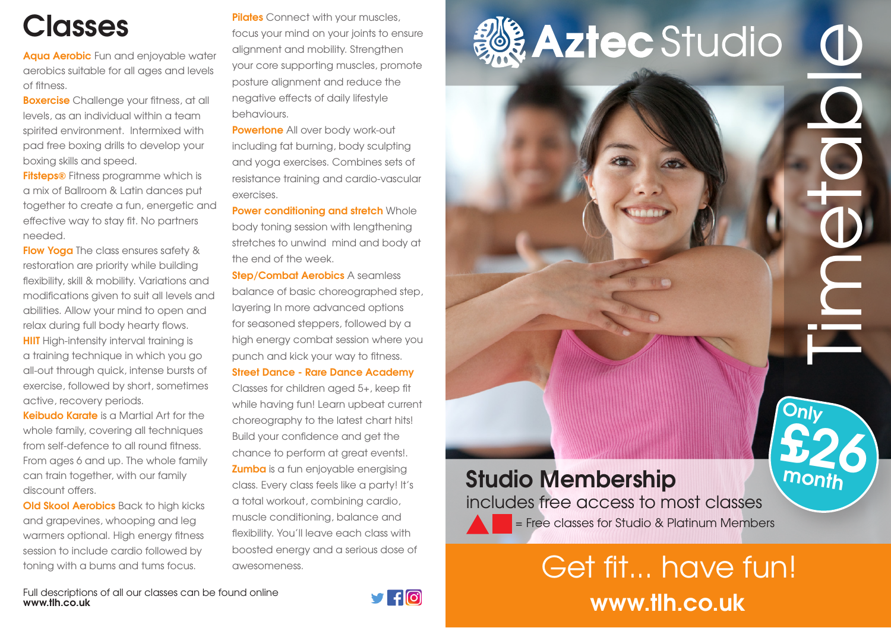## **Classes**

**Aqua Aerobic** Fun and enjoyable water aerobics suitable for all ages and levels of fitness.

**Boxercise** Challenge your fitness, at all levels, as an individual within a team spirited environment. Intermixed with pad free boxing drills to develop your boxing skills and speed.

**Fitsteps®** Fitness programme which is a mix of Ballroom & Latin dances put together to create a fun, energetic and effective way to stay fit. No partners needed.

**Flow Yoga** The class ensures safety & restoration are priority while building flexibility, skill & mobility. Variations and modifications given to suit all levels and abilities. Allow your mind to open and relax during full body hearty flows.

**HIIT** High-intensity interval training is a training technique in which you go all-out through quick, intense bursts of exercise, followed by short, sometimes active, recovery periods.

**Keibudo Karate** is a Martial Art for the whole family, covering all techniques from self-defence to all round fitness. From ages 6 and up. The whole family can train together, with our family discount offers.

**Old Skool Aerobics** Back to high kicks and grapevines, whooping and leg warmers optional. High energy fitness session to include cardio followed by toning with a bums and tums focus.

**Pilates** Connect with your muscles, focus your mind on your joints to ensure alignment and mobility. Strengthen your core supporting muscles, promote posture alignment and reduce the negative effects of daily lifestyle behaviours.

**Powertone** All over body work-out including fat burning, body sculpting and yoga exercises. Combines sets of resistance training and cardio-vascular exercises.

**Power conditioning and stretch Whole** body toning session with lengthening stretches to unwind mind and body at the end of the week.

**Step/Combat Aerobics** A seamless balance of basic choreographed step, layering In more advanced options for seasoned steppers, followed by a high energy combat session where you punch and kick your way to fitness.

**Street Dance - Rare Dance Academy** Classes for children aged 5+, keep fit while having fun! Learn upbeat current choreography to the latest chart hits! Build your confidence and get the chance to perform at great events!. **Zumba** is a fun enjoyable energising class. Every class feels like a party! It's a total workout, combining cardio, muscle conditioning, balance and flexibility. You'll leave each class with boosted energy and a serious dose of awesomeness.

# **《 Aztec** Studio

Timetable

**Only**

 **month**

**£26**

#### **Studio Membership**

includes free access to most classes = Free classes for Studio & Platinum Members

### **www.tlh.co.uk www.tlh.co.uk** Get fit... have fun!

Full descriptions of all our classes can be found online<br>www.tlh.co.uk